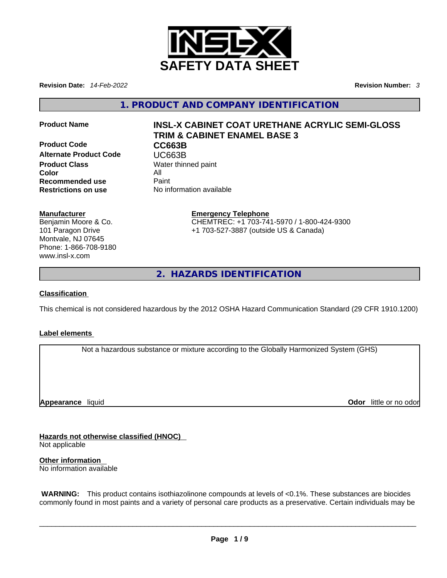

**Revision Date:** *14-Feb-2022* **Revision Number:** *3*

**1. PRODUCT AND COMPANY IDENTIFICATION** 

**Product Code CC663B Alternate Product Code CODE UC663B**<br> **Product Class** Water thin **Color** All **Recommended use** Paint<br> **Restrictions on use** No inf

# **Product Name INSL-X CABINET COAT URETHANE ACRYLIC SEMI-GLOSS TRIM & CABINET ENAMEL BASE 3**

**Water thinned paint Restrictions on use** No information available

#### **Manufacturer**

Benjamin Moore & Co. 101 Paragon Drive Montvale, NJ 07645 Phone: 1-866-708-9180 www.insl-x.com

#### **Emergency Telephone** CHEMTREC: +1 703-741-5970 / 1-800-424-9300 +1 703-527-3887 (outside US & Canada)

**2. HAZARDS IDENTIFICATION** 

### **Classification**

This chemical is not considered hazardous by the 2012 OSHA Hazard Communication Standard (29 CFR 1910.1200)

#### **Label elements**

Not a hazardous substance or mixture according to the Globally Harmonized System (GHS)

**Appearance** liquid

**Odor** little or no odor

**Hazards not otherwise classified (HNOC)**  Not applicable

**Other information**  No information available

 **WARNING:** This product contains isothiazolinone compounds at levels of <0.1%. These substances are biocides commonly found in most paints and a variety of personal care products as a preservative. Certain individuals may be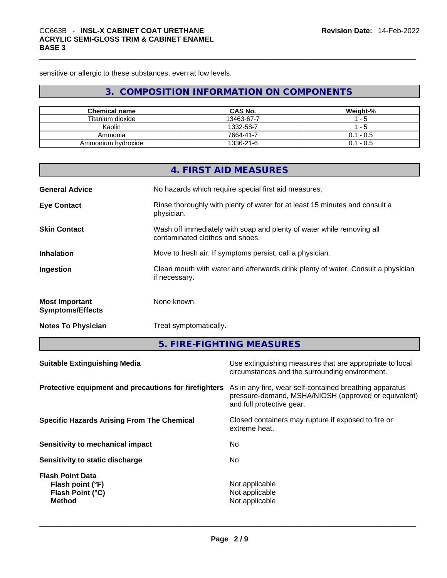sensitive or allergic to these substances, even at low levels.

# **3. COMPOSITION INFORMATION ON COMPONENTS**

| <b>Chemical name</b> | <b>CAS No.</b> | Weight-%    |
|----------------------|----------------|-------------|
| Titanium dioxide     | 13463-67-7     | - 5         |
| Kaolin               | 1332-58-7      | - 5         |
| Ammonia              | 7664-41-7      | $0.1 - 0.5$ |
| Ammonium hydroxide   | 1336-21-6      | $0.1 - 0.5$ |

|                                                  | 4. FIRST AID MEASURES                                                                                    |
|--------------------------------------------------|----------------------------------------------------------------------------------------------------------|
| <b>General Advice</b>                            | No hazards which require special first aid measures.                                                     |
| <b>Eye Contact</b>                               | Rinse thoroughly with plenty of water for at least 15 minutes and consult a<br>physician.                |
| <b>Skin Contact</b>                              | Wash off immediately with soap and plenty of water while removing all<br>contaminated clothes and shoes. |
| <b>Inhalation</b>                                | Move to fresh air. If symptoms persist, call a physician.                                                |
| Ingestion                                        | Clean mouth with water and afterwards drink plenty of water. Consult a physician<br>if necessary.        |
| <b>Most Important</b><br><b>Symptoms/Effects</b> | None known.                                                                                              |
| <b>Notes To Physician</b>                        | Treat symptomatically.                                                                                   |

**5. FIRE-FIGHTING MEASURES** 

| As in any fire, wear self-contained breathing apparatus<br>Protective equipment and precautions for firefighters<br>pressure-demand, MSHA/NIOSH (approved or equivalent)<br>and full protective gear. |
|-------------------------------------------------------------------------------------------------------------------------------------------------------------------------------------------------------|
|                                                                                                                                                                                                       |
| <b>Specific Hazards Arising From The Chemical</b><br>Closed containers may rupture if exposed to fire or<br>extreme heat.                                                                             |
| No.<br>Sensitivity to mechanical impact                                                                                                                                                               |
| No.<br>Sensitivity to static discharge                                                                                                                                                                |
| <b>Flash Point Data</b><br>Not applicable<br>Flash point (°F)<br>Not applicable<br>Flash Point (°C)<br>Not applicable<br><b>Method</b>                                                                |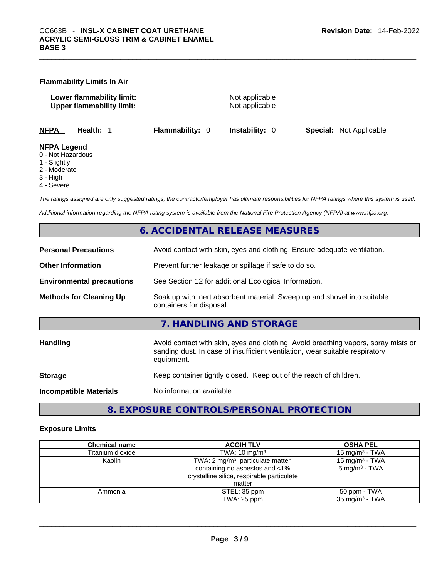| <b>Flammability Limits In Air</b> |  |
|-----------------------------------|--|
|-----------------------------------|--|

**Lower flammability limit:** Not applicable **Upper flammability limit:** Not applicable

**NFPA Health:** 1 **Flammability:** 0 **Instability:** 0 **Special:** Not Applicable

#### **NFPA Legend**

- 0 Not Hazardous
- 1 Slightly
- 2 Moderate
- 3 High
- 4 Severe

*The ratings assigned are only suggested ratings, the contractor/employer has ultimate responsibilities for NFPA ratings where this system is used.* 

*Additional information regarding the NFPA rating system is available from the National Fire Protection Agency (NFPA) at www.nfpa.org.* 

## **6. ACCIDENTAL RELEASE MEASURES**

| <b>Personal Precautions</b>      | Avoid contact with skin, eyes and clothing. Ensure adequate ventilation.                                                                                                         |
|----------------------------------|----------------------------------------------------------------------------------------------------------------------------------------------------------------------------------|
| <b>Other Information</b>         | Prevent further leakage or spillage if safe to do so.                                                                                                                            |
| <b>Environmental precautions</b> | See Section 12 for additional Ecological Information.                                                                                                                            |
| <b>Methods for Cleaning Up</b>   | Soak up with inert absorbent material. Sweep up and shovel into suitable<br>containers for disposal.                                                                             |
|                                  | 7. HANDLING AND STORAGE                                                                                                                                                          |
| <b>Handling</b>                  | Avoid contact with skin, eyes and clothing. Avoid breathing vapors, spray mists or<br>sanding dust. In case of insufficient ventilation, wear suitable respiratory<br>equipment. |
| <b>Storage</b>                   | Keep container tightly closed. Keep out of the reach of children.                                                                                                                |
| <b>Incompatible Materials</b>    | No information available                                                                                                                                                         |

# **8. EXPOSURE CONTROLS/PERSONAL PROTECTION**

#### **Exposure Limits**

| <b>Chemical name</b> | <b>ACGIH TLV</b>                           |                           |
|----------------------|--------------------------------------------|---------------------------|
| Titanium dioxide     | TWA: $10 \text{ mg/m}^3$                   | 15 mg/m $3$ - TWA         |
| Kaolin               | TWA: $2 \text{ mg/m}^3$ particulate matter | 15 mg/m $3$ - TWA         |
|                      | containing no asbestos and <1%             | $5 \text{ mg/m}^3$ - TWA  |
|                      | crystalline silica, respirable particulate |                           |
|                      | matter                                     |                           |
| Ammonia              | STEL: 35 ppm                               | 50 ppm - TWA              |
|                      | TWA: 25 ppm                                | $35 \text{ mg/m}^3$ - TWA |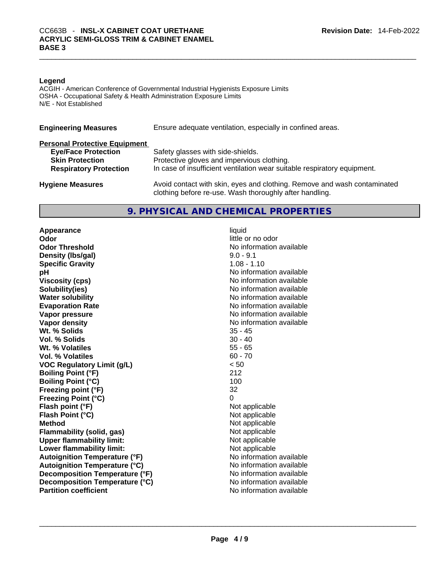#### **Legend**

ACGIH - American Conference of Governmental Industrial Hygienists Exposure Limits OSHA - Occupational Safety & Health Administration Exposure Limits N/E - Not Established

| <b>Engineering Measures</b>          | Ensure adequate ventilation, especially in confined areas.                                                                          |  |  |  |  |
|--------------------------------------|-------------------------------------------------------------------------------------------------------------------------------------|--|--|--|--|
| <b>Personal Protective Equipment</b> |                                                                                                                                     |  |  |  |  |
| <b>Eye/Face Protection</b>           | Safety glasses with side-shields.                                                                                                   |  |  |  |  |
| <b>Skin Protection</b>               | Protective gloves and impervious clothing.                                                                                          |  |  |  |  |
| <b>Respiratory Protection</b>        | In case of insufficient ventilation wear suitable respiratory equipment.                                                            |  |  |  |  |
| <b>Hygiene Measures</b>              | Avoid contact with skin, eyes and clothing. Remove and wash contaminated<br>clothing before re-use. Wash thoroughly after handling. |  |  |  |  |

#### **9. PHYSICAL AND CHEMICAL PROPERTIES**

**Appearance** liquid **Odor Odor Odor Odor Odor Odor** *little* **or no odor Odor Threshold** No information available **Density** (Ibs/gal) 9.0 - 9.1 **Specific Gravity** 1.08 - 1.10 **pH pH** *No* information available **Viscosity (cps) Viscosity (cps) No information available Solubility(ies)** No information available in the solution of the solution of the solution available in the solution of the solution of the solution of the solution of the solution of the solution of the solution of the so **Water solubility Water solubility No information available Evaporation Rate No information available No information available Vapor pressure**  No information available **Vapor pressure No information available Vapor density**<br> **We Solids**<br>
We Solids
25 - 45 Wt. % Solids **Vol. % Solids** 30 - 40 **Wt. % Volatiles** 55 - 65 **Vol. % Volatiles** 60 - 70 **VOC Regulatory Limit (g/L)** < 50 **Boiling Point (°F) Boiling Point**  $(^{\circ}C)$  100 **Freezing point (°F)** 32 **Freezing Point (°C)** 0 **Flash point (°F)** Not applicable **Flash Point (°C)** Not applicable **Method** Not applicable **Flammability (solid, gas)** Not applicable **Upper flammability limit:** Not applicable **Lower flammability limit:** Not applicable **Autoignition Temperature (°F)**<br> **Autoignition Temperature (°C)**<br> **Autoignition Temperature (°C)**<br> **Autoignition Temperature (°C) Autoignition Temperature (°C) Decomposition Temperature (°F)** No information available **Decomposition Temperature (°C)**<br> **Partition coefficient**<br> **Partition coefficient**<br> **No** information available **Partition coefficient**No information available \_\_\_\_\_\_\_\_\_\_\_\_\_\_\_\_\_\_\_\_\_\_\_\_\_\_\_\_\_\_\_\_\_\_\_\_\_\_\_\_\_\_\_\_\_\_\_\_\_\_\_\_\_\_\_\_\_\_\_\_\_\_\_\_\_\_\_\_\_\_\_\_\_\_\_\_\_\_\_\_\_\_\_\_\_\_\_\_\_\_\_\_\_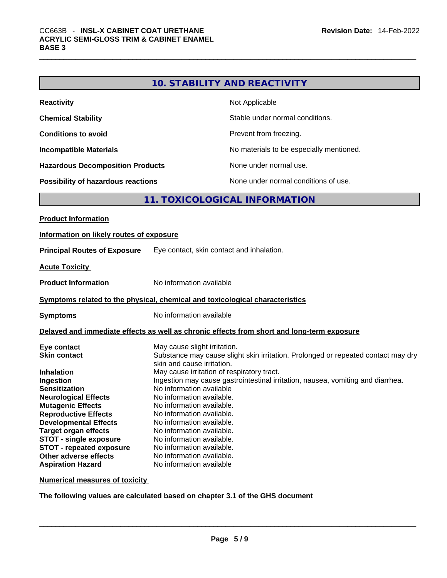|                                                                              |                                                        | <b>10. STABILITY AND REACTIVITY</b>                                                        |
|------------------------------------------------------------------------------|--------------------------------------------------------|--------------------------------------------------------------------------------------------|
| <b>Reactivity</b>                                                            |                                                        | Not Applicable                                                                             |
| <b>Chemical Stability</b>                                                    |                                                        | Stable under normal conditions.                                                            |
| <b>Conditions to avoid</b>                                                   |                                                        | Prevent from freezing.                                                                     |
| <b>Incompatible Materials</b>                                                |                                                        | No materials to be especially mentioned.                                                   |
| <b>Hazardous Decomposition Products</b>                                      |                                                        | None under normal use.                                                                     |
| Possibility of hazardous reactions                                           |                                                        | None under normal conditions of use.                                                       |
|                                                                              |                                                        | 11. TOXICOLOGICAL INFORMATION                                                              |
| <b>Product Information</b>                                                   |                                                        |                                                                                            |
| Information on likely routes of exposure                                     |                                                        |                                                                                            |
|                                                                              |                                                        | Eye contact, skin contact and inhalation.                                                  |
| <b>Principal Routes of Exposure</b>                                          |                                                        |                                                                                            |
| <b>Acute Toxicity</b>                                                        |                                                        |                                                                                            |
| <b>Product Information</b>                                                   | No information available                               |                                                                                            |
| Symptoms related to the physical, chemical and toxicological characteristics |                                                        |                                                                                            |
| <b>Symptoms</b>                                                              | No information available                               |                                                                                            |
|                                                                              |                                                        | Delayed and immediate effects as well as chronic effects from short and long-term exposure |
| Eye contact                                                                  | May cause slight irritation.                           |                                                                                            |
| <b>Skin contact</b>                                                          |                                                        | Substance may cause slight skin irritation. Prolonged or repeated contact may dry          |
|                                                                              | skin and cause irritation.                             |                                                                                            |
| <b>Inhalation</b>                                                            |                                                        | May cause irritation of respiratory tract.                                                 |
| Ingestion                                                                    |                                                        | Ingestion may cause gastrointestinal irritation, nausea, vomiting and diarrhea.            |
| <b>Sensitization</b>                                                         | No information available                               |                                                                                            |
| <b>Neurological Effects</b>                                                  | No information available.                              |                                                                                            |
| <b>Mutagenic Effects</b>                                                     | No information available.<br>No information available. |                                                                                            |
| <b>Reproductive Effects</b><br><b>Developmental Effects</b>                  | No information available.                              |                                                                                            |
| <b>Target organ effects</b>                                                  | No information available.                              |                                                                                            |
| <b>STOT - single exposure</b>                                                | No information available.                              |                                                                                            |
| <b>STOT - repeated exposure</b>                                              | No information available.                              |                                                                                            |
| Other adverse effects                                                        | No information available.                              |                                                                                            |
|                                                                              |                                                        |                                                                                            |

**Numerical measures of toxicity**

**Aspiration Hazard Mo information available** 

**The following values are calculated based on chapter 3.1 of the GHS document**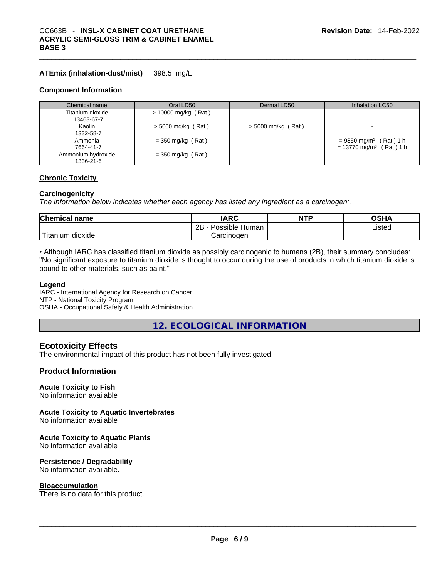#### **ATEmix (inhalation-dust/mist)** 398.5 mg/L

#### **Component Information**

| Chemical name                   | Oral LD50             | Dermal LD50          | Inhalation LC50                                                                    |
|---------------------------------|-----------------------|----------------------|------------------------------------------------------------------------------------|
| Titanium dioxide<br>13463-67-7  | $> 10000$ mg/kg (Rat) |                      |                                                                                    |
| Kaolin<br>1332-58-7             | $>$ 5000 mg/kg (Rat)  | $>$ 5000 mg/kg (Rat) |                                                                                    |
| Ammonia<br>7664-41-7            | $=$ 350 mg/kg (Rat)   |                      | $= 9850$ mg/m <sup>3</sup> (Rat) 1 h<br>$= 13770$ mg/m <sup>3</sup><br>$(Rat)$ 1 h |
| Ammonium hydroxide<br>1336-21-6 | $=$ 350 mg/kg (Rat)   |                      |                                                                                    |

#### **Chronic Toxicity**

#### **Carcinogenicity**

*The information below indicates whether each agency has listed any ingredient as a carcinogen:.* 

| <b>Chemical name</b> | <b>IARC</b>               | <b>NTP</b> | OSHA   |
|----------------------|---------------------------|------------|--------|
|                      | 2B<br>Possible<br>: Human |            | ∟isted |
| dioxide<br>Titanium  | Carcınoɑen                |            |        |

• Although IARC has classified titanium dioxide as possibly carcinogenic to humans (2B), their summary concludes: "No significant exposure to titanium dioxide is thought to occur during the use of products in which titanium dioxide is bound to other materials, such as paint."

#### **Legend**

IARC - International Agency for Research on Cancer NTP - National Toxicity Program OSHA - Occupational Safety & Health Administration

**12. ECOLOGICAL INFORMATION** 

#### **Ecotoxicity Effects**

The environmental impact of this product has not been fully investigated.

#### **Product Information**

#### **Acute Toxicity to Fish**

No information available

#### **Acute Toxicity to Aquatic Invertebrates**

No information available

#### **Acute Toxicity to Aquatic Plants**

No information available

#### **Persistence / Degradability**

No information available.

**Bioaccumulation**<br>There is no data for this product. There is no data for this product. \_\_\_\_\_\_\_\_\_\_\_\_\_\_\_\_\_\_\_\_\_\_\_\_\_\_\_\_\_\_\_\_\_\_\_\_\_\_\_\_\_\_\_\_\_\_\_\_\_\_\_\_\_\_\_\_\_\_\_\_\_\_\_\_\_\_\_\_\_\_\_\_\_\_\_\_\_\_\_\_\_\_\_\_\_\_\_\_\_\_\_\_\_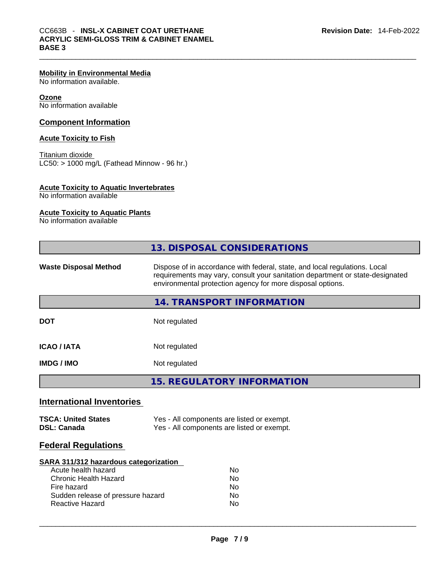#### **Mobility in Environmental Media**

No information available.

#### **Ozone**

No information available

#### **Component Information**

#### **Acute Toxicity to Fish**

**Titanium dioxide**  $LC50:$  > 1000 mg/L (Fathead Minnow - 96 hr.)

#### **Acute Toxicity to Aquatic Invertebrates**

No information available

#### **Acute Toxicity to Aquatic Plants**

No information available

|                                                  | 13. DISPOSAL CONSIDERATIONS                                                                                                                                                                                               |
|--------------------------------------------------|---------------------------------------------------------------------------------------------------------------------------------------------------------------------------------------------------------------------------|
| <b>Waste Disposal Method</b>                     | Dispose of in accordance with federal, state, and local regulations. Local<br>requirements may vary, consult your sanitation department or state-designated<br>environmental protection agency for more disposal options. |
|                                                  | <b>14. TRANSPORT INFORMATION</b>                                                                                                                                                                                          |
| <b>DOT</b>                                       | Not regulated                                                                                                                                                                                                             |
| <b>ICAO/IATA</b>                                 | Not regulated                                                                                                                                                                                                             |
| <b>IMDG / IMO</b>                                | Not regulated                                                                                                                                                                                                             |
|                                                  | <b>15. REGULATORY INFORMATION</b>                                                                                                                                                                                         |
| <b>International Inventories</b>                 |                                                                                                                                                                                                                           |
| <b>TSCA: United States</b><br><b>DSL: Canada</b> | Yes - All components are listed or exempt.<br>Yes - All components are listed or exempt.                                                                                                                                  |
| <b>Federal Regulations</b>                       |                                                                                                                                                                                                                           |
|                                                  |                                                                                                                                                                                                                           |

#### **SARA 311/312 hazardous categorization**

| Acute health hazard               | N٥ |  |
|-----------------------------------|----|--|
| Chronic Health Hazard             | No |  |
| Fire hazard                       | Nο |  |
| Sudden release of pressure hazard | No |  |
| Reactive Hazard                   | N٥ |  |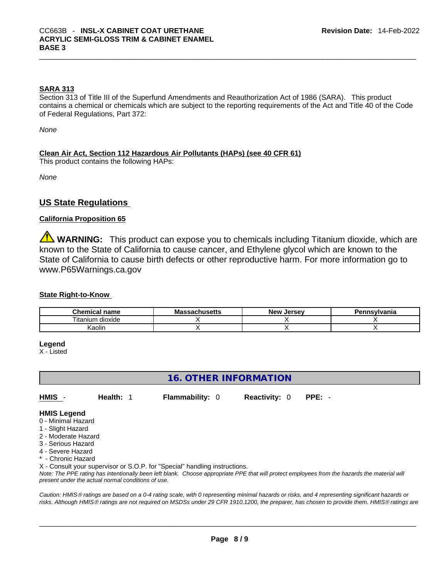#### **SARA 313**

Section 313 of Title III of the Superfund Amendments and Reauthorization Act of 1986 (SARA). This product contains a chemical or chemicals which are subject to the reporting requirements of the Act and Title 40 of the Code of Federal Regulations, Part 372:

*None*

**Clean Air Act,Section 112 Hazardous Air Pollutants (HAPs) (see 40 CFR 61)**

This product contains the following HAPs:

*None*

# **US State Regulations**

#### **California Proposition 65**

**WARNING:** This product can expose you to chemicals including Titanium dioxide, which are known to the State of California to cause cancer, and Ethylene glycol which are known to the State of California to cause birth defects or other reproductive harm. For more information go to www.P65Warnings.ca.gov

#### **State Right-to-Know**

| Chemical .<br>name          | Ma<br>achusetts | New<br>. Jersev | าnsvlvania |
|-----------------------------|-----------------|-----------------|------------|
| --<br>⊦dioxide<br>l itanıum |                 |                 |            |
| ∖aolir                      |                 |                 |            |

#### **Legend**

X - Listed

# **16. OTHER INFORMATION**

**HMIS** - **Health:** 1 **Flammability:** 0 **Reactivity:** 0 **PPE:** -

#### **HMIS Legend**

- 0 Minimal Hazard
- 1 Slight Hazard
- 2 Moderate Hazard
- 3 Serious Hazard
- 4 Severe Hazard
- **Chronic Hazard**

X - Consult your supervisor or S.O.P. for "Special" handling instructions.

Note: The PPE rating has intentionally been left blank. Choose appropriate PPE that will protect employees from the hazards the material will *present under the actual normal conditions of use.* 

*Caution: HMISÒ ratings are based on a 0-4 rating scale, with 0 representing minimal hazards or risks, and 4 representing significant hazards or risks. Although HMISÒ ratings are not required on MSDSs under 29 CFR 1910.1200, the preparer, has chosen to provide them. HMISÒ ratings are*